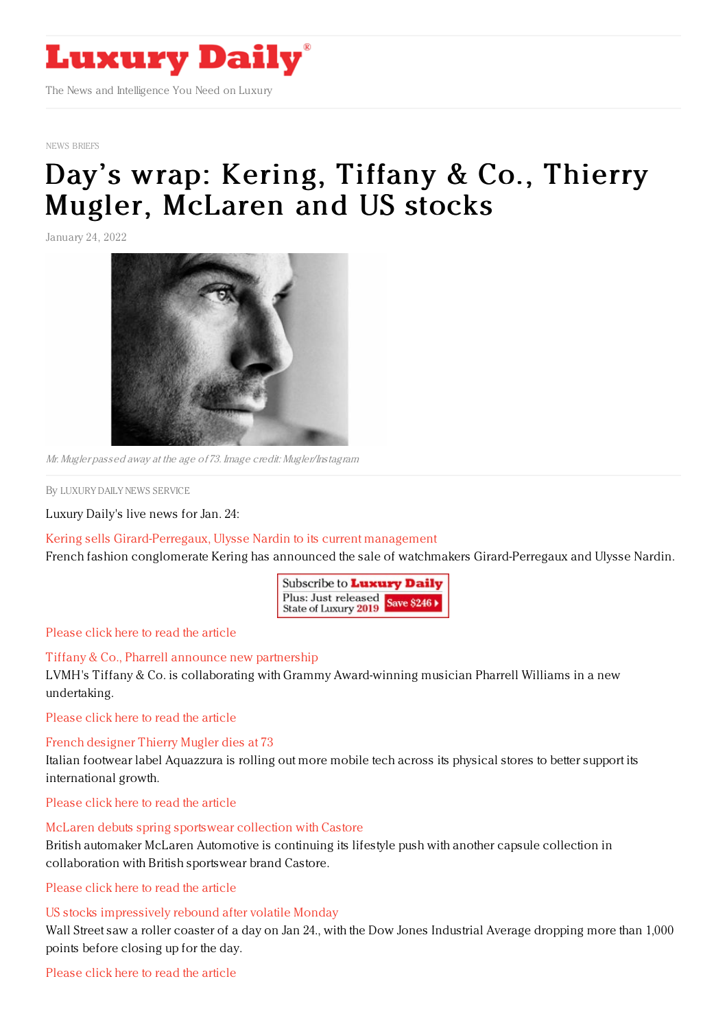

NEWS [BRIEFS](https://www.luxurydaily.com/category/resources/news-briefs)

# Day 's wrap: Kering, Tiffany & Co., Thierry Mugler, [McLaren](https://www.luxurydaily.com/?p=344223) and US stocks

January 24, 2022



Mr. Mugler passed away at the age of 73. Image credit: Mugler/Instagram

By LUXURY DAILY NEWS [SERVICE](file:///author/luxury-daily-news-service)

Luxury Daily's live news for Jan. 24:

### Kering sells [Girard-Perregaux,](https://www.luxurydaily.com/kering-sells-girard-perregaux-ulysse-nardin-to-its-current-management/) Ulysse Nardin to its current management

French fashion conglomerate Kering has announced the sale of watchmakers Girard-Perregaux and Ulysse Nardin.

| Subscribe to <b>Luxury Daily</b>                          |  |
|-----------------------------------------------------------|--|
| Plus: Just released<br>State of Luxury 2019<br>Save \$246 |  |

[Please](https://www.luxurydaily.com/kering-sells-girard-perregaux-ulysse-nardin-to-its-current-management/) click here to read the article

## Tiffany & Co., Pharrell announce new [partnership](https://www.luxurydaily.com/tiffany-co-pharrell-announces-new-partnership/)

LVMH's Tiffany & Co. is collaborating with Grammy Award-winning musician Pharrell Williams in a new undertaking.

[Please](https://www.luxurydaily.com/tiffany-co-pharrell-announces-new-partnership/) click here to read the article

French [designer](https://www.luxurydaily.com/thierry-mugler-obituary/) Thierry Mugler dies at 73

Italian footwear label Aquazzura is rolling out more mobile tech across its physical stores to better support its international growth.

[Please](https://www.luxurydaily.com/thierry-mugler-obituary/) click here to read the article

## McLaren debuts spring [sportswear](https://www.luxurydaily.com/mclaren-spring-sportswear-collection-castore/) collection with Castore

British automaker McLaren Automotive is continuing its lifestyle push with another capsule collection in collaboration with British sportswear brand Castore.

[Please](https://www.luxurydaily.com/mclaren-spring-sportswear-collection-castore/) click here to read the article

## US stocks [impressively](https://www.luxurydaily.com/us-stocks-impressively-rebound-after-volatile-monday/) rebound after volatile Monday

Wall Street saw a roller coaster of a day on Jan 24., with the Dow Jones Industrial Average dropping more than 1,000 points before closing up for the day.

## [Please](https://www.luxurydaily.com/us-stocks-impressively-rebound-after-volatile-monday/) click here to read the article